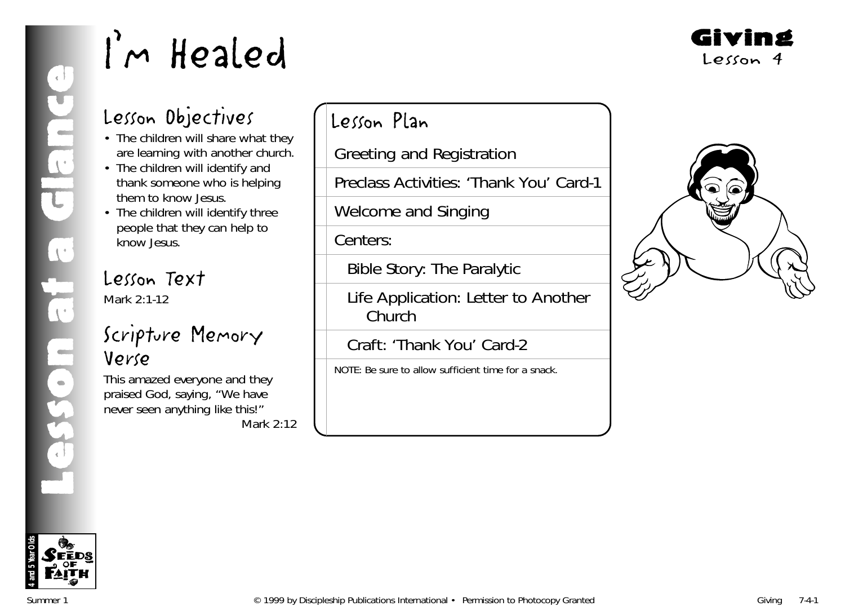Giving Lesson 4

### Lesson Objectives

- The children will share what they are learning with another church.
- The children will identify and thank someone who is helping them to know Jesus.
- The children will identify three people that they can help to know Jesus.

### Lesson Text

Mark 2:1-12

### Scripture Memory Verse

This amazed everyone and they praised God, saying, "We have never seen anything like this!" Mark 2:12 Lesson Plan

Greeting and Registration

Preclass Activities: 'Thank You' Card-1

Welcome and Singing

Centers:

Bible Story: The Paralytic

Life Application: Letter to Another Church

Craft: 'Thank You' Card-2

NOTE: Be sure to allow sufficient time for a snack.



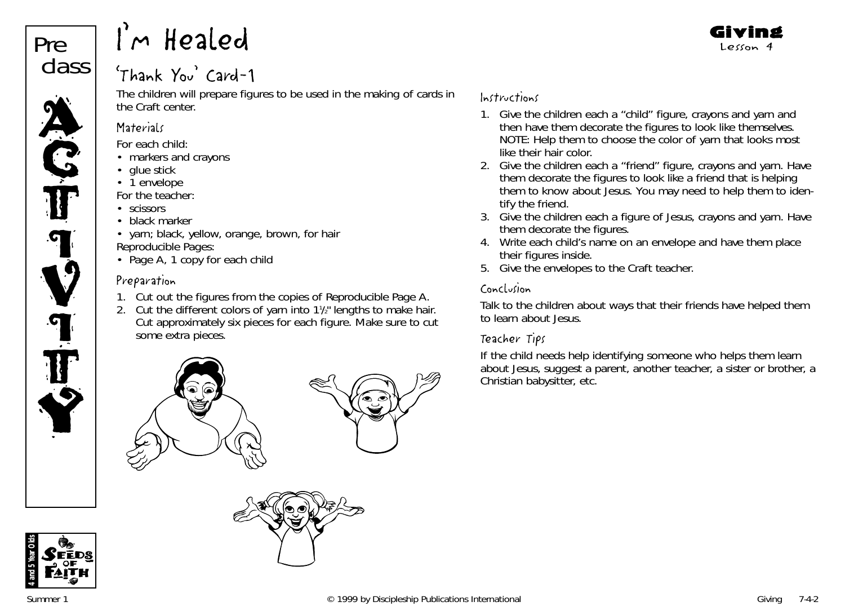

### 'Thank You' Card-1

The children will prepare figures to be used in the making of cards in the Craft center.

#### **Materials**

*For each child:*

- markers and crayons
- glue stick
- 1 envelope

*For the teacher:*

- scissors
- black marker
- yarn; black, yellow, orange, brown, for hair *Reproducible Pages:*
- Page A, 1 copy for each chilc

### Preparation

- 1. Cut out the figures from the copies of Reproducible Page A.
- 2. Cut the different colors of yarn into  $1\frac{1}{2}$ " lengths to make hair. Cut approximately six pieces for each figure. Make sure to cut some extra pieces.





### Instructions

1. Give the children each a "child" figure, crayons and yarn and then have them decorate the figures to look like themselves. NOTE: Help them to choose the color of yarn that looks most like their hair color.

Giving Lesson 4

- 2. Give the children each a "friend" figure, crayons and yarn. Have them decorate the figures to look like a friend that is helping them to know about Jesus. You may need to help them to identify the friend.
- 3. Give the children each a figure of Jesus, crayons and yarn. Have them decorate the figures.
- 4. Write each child's name on an envelope and have them place their figures inside.
- 5. Give the envelopes to the Craft teacher.

### Conclusion

Talk to the children about ways that their friends have helped them to learn about Jesus.

### Teacher Tips

If the child needs help identifying someone who helps them learn about Jesus, suggest a parent, another teacher, a sister or brother, a Christian babysitter, etc.

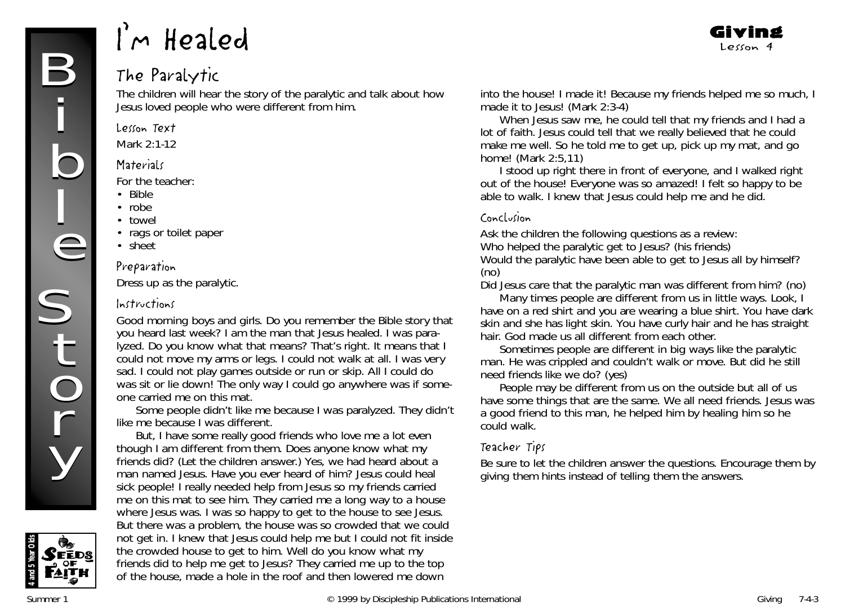### The Paralytic

The children will hear the story of the paralytic and talk about how Jesus loved people who were different from him.

#### Lesson Text

Mark 2:1-12

#### **Materials**

*For the teacher:*

- Bible
- robe
- towel
- rags or toilet paper
- sheet

#### Preparation

Dress up as the paralytic.

#### Instructions

*Good morning boys and girls. Do you remember the Bible story that you heard last week? I am the man that Jesus healed. I was paralyzed. Do you know what that means? That's right. It means that I could not move my arms or legs. I could not walk at all. I was very sad. I could not play games outside or run or skip. All I could do was sit or lie down! The only way I could go anywhere was if someone carried me on this mat.*

*Some people didn't like me because I was paralyzed. They didn't like me because I was different.*

*But, I have some really good friends who love me a lot even though I am different from them. Does anyone know what my friends did?* (Let the children answer.) *Yes, we had heard about a man named Jesus. Have you ever heard of him? Jesus could heal sick people! I really needed help from Jesus so my friends carried me on this mat to see him. They carried me a long way to a house where Jesus was. I was so happy to get to the house to see Jesus. But there was a problem, the house was so crowded that we could not get in. I knew that Jesus could help me but I could not fit inside the crowded house to get to him. Well do you know what my friends did to help me get to Jesus? They carried me up to the top of the house, made a hole in the roof and then lowered me down*

*into the house! I made it! Because my friends helped me so much, I made it to Jesus! (Mark 2:3-4)*

Giving Lesson 4

*When Jesus saw me, he could tell that my friends and I had a lot of faith. Jesus could tell that we really believed that he could make me well. So he told me to get up, pick up my mat, and go home! (Mark 2:5,11)*

*I stood up right there in front of everyone, and I walked right out of the house! Everyone was so amazed! I felt so happy to be able to walk. I knew that Jesus could help me and he did.*

#### Conclusion

Ask the children the following questions as a review: Who helped the paralytic get to Jesus? (his friends) Would the paralytic have been able to get to Jesus all by himself? (no)

Did Jesus care that the paralytic man was different from him? (no)

*Many times people are different from us in little ways. Look, I have on a red shirt and you are wearing a blue shirt. You have dark skin and she has light skin. You have curly hair and he has straight hair. God made us all different from each other.*

*Sometimes people are different in big ways like the paralytic man. He was crippled and couldn't walk or move. But did he still need friends like we do?* (yes)

*People may be different from us on the outside but all of us have some things that are the same. We all need friends. Jesus was a good friend to this man, he helped him by healing him so he could walk.*

#### Teacher Tips

Be sure to let the children answer the questions. Encourage them by giving them hints instead of telling them the answers.

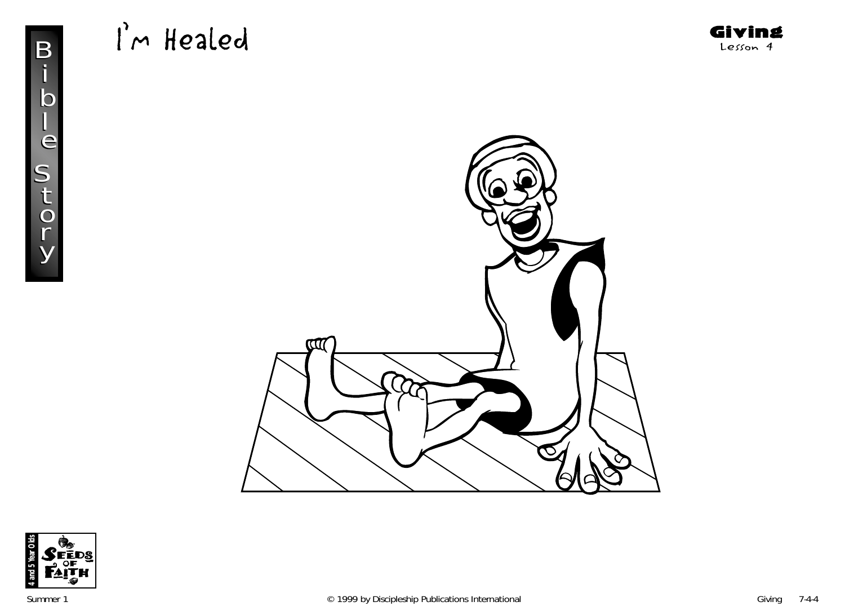

Giving Lesson 4



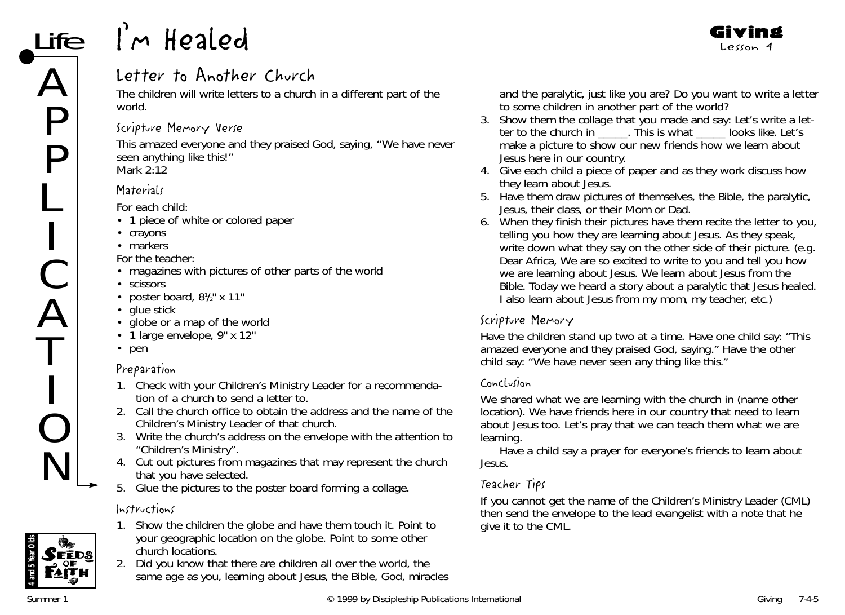### Letter to Another Church

The children will write letters to a church in a different part of the world.

### Scripture Memory Verse

This amazed everyone and they praised God, saying, "We have never seen anything like this!" *Mark 2:12*

### **Materials**

*For each child:*

- 1 piece of white or colored paper
- crayons
- markers

*For the teacher:*

- magazines with pictures of other parts of the world
- scissors
- poster board,  $8\frac{1}{2}$  x 11"
- glue stick
- globe or a map of the world
- 1 large envelope, 9" x 12"
- pen

### Preparation

- 1. Check with your Children's Ministry Leader for a recommendation of a church to send a letter to.
- 2. Call the church office to obtain the address and the name of the Children's Ministry Leader of that church.
- 3. Write the church's address on the envelope with the attention to "Children's Ministry".
- 4. Cut out pictures from magazines that may represent the church that you have selected.
- 5. Glue the pictures to the poster board forming a collage.

### Instructions



- 1. Show the children the globe and have them touch it. Point to your geographic location on the globe. Point to some other church locations.
	- 2. *Did you know that there are children all over the world, the same age as you, learning about Jesus, the Bible, God, miracles*

*and the paralytic, just like you are? Do you want to write a letter to some children in another part of the world?*

- 3. Show them the collage that you made and say: *Let's write a letter to the church in \_\_\_\_\_. This is what \_\_\_\_\_ looks like. Let's make a picture to show our new friends how we learn about Jesus here in our country.*
- 4. Give each child a piece of paper and as they work discuss how they learn about Jesus.
- 5. Have them draw pictures of themselves, the Bible, the paralytic, Jesus, their class, or their Mom or Dad.
- 6. When they finish their pictures have them recite the letter to you, telling you how they are learning about Jesus. As they speak, write down what they say on the other side of their picture. (e.g. Dear Africa, We are so excited to write to you and tell you how we are learning about Jesus. We learn about Jesus from the Bible. Today we heard a story about a paralytic that Jesus healed. I also learn about Jesus from my mom, my teacher, etc.)

### Scripture Memory

Have the children stand up two at a time. Have one child say: "This amazed everyone and they praised God, saying." Have the other child say: "We have never seen any thing like this."

### Conclusion

*We shared what we are learning with the church in (name other* location)*. We have friends here in our country that need to learn about Jesus too. Let's pray that we can teach them what we are learning.*

Have a child say a prayer for everyone's friends to learn about Jesus.

### Teacher Tips

If you cannot get the name of the Children's Ministry Leader (CML) then send the envelope to the lead evangelist with a note that he give it to the CML.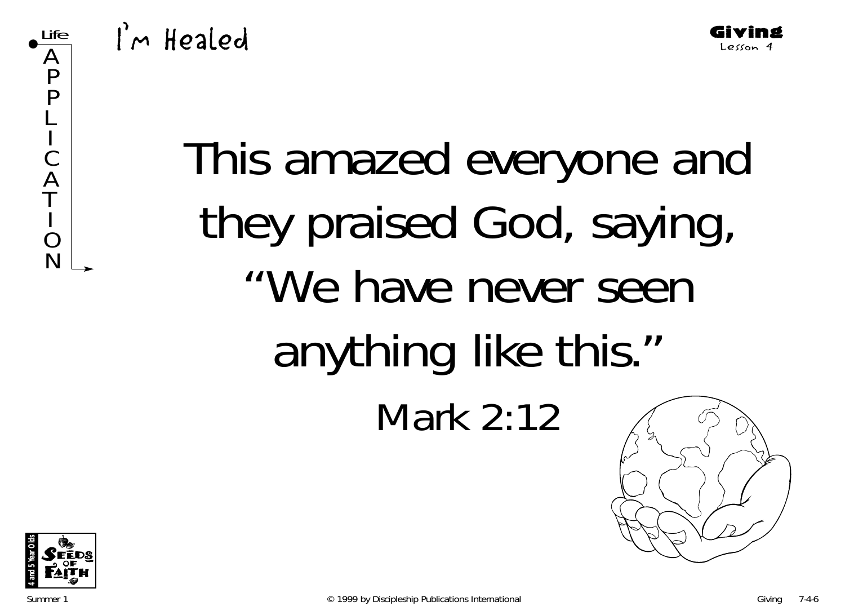

I'm Healed

# This amazed everyone and they praised God, saying, "We have never seen anything like this." Mark 2:12



Life

A P P L **In the contract of the contract of the contract of the contract of the contract of the contract of the contract of the contract of the contract of the contract of the contract of the contract of the contract of the contra** C A T **In the contract of the contract of the contract of the contract of the contract of the contract of the contract of the contract of the contract of the contract of the contract of the contract of the contract of the contra** O N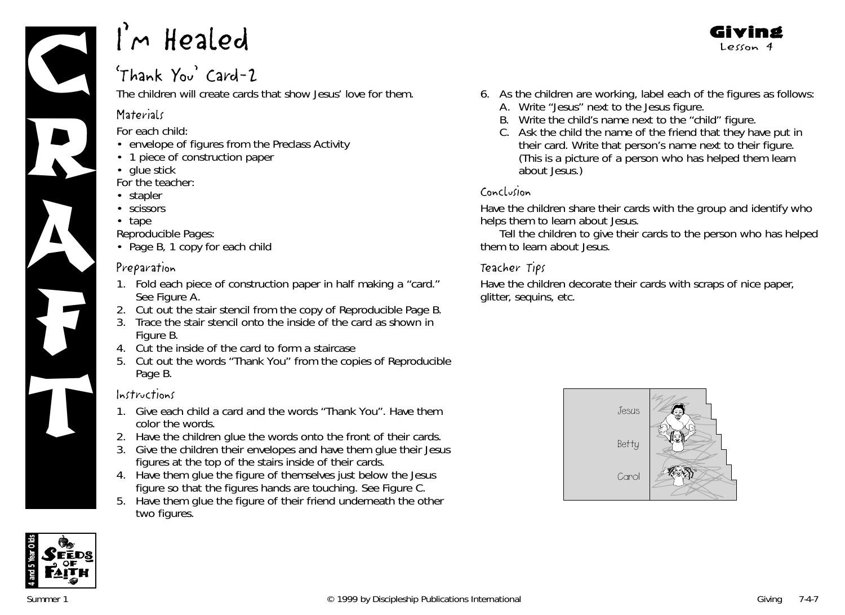

### 'Thank You' Card-2

The children will create cards that show Jesus' love for them.

### **Materials**

*For each child:*

- envelope of figures from the Preclass Activity
- 1 piece of construction paper
- glue stick

*For the teacher:*

- stapler
- scissors
- tape

*Reproducible Pages:*

• Page B, 1 copy for each child

### Preparation

- 1. Fold each piece of construction paper in half making a "card." See Figure A.
- 2. Cut out the stair stencil from the copy of Reproducible Page B.
- 3. Trace the stair stencil onto the inside of the card as shown in Figure B.
- 4. Cut the inside of the card to form a staircase
- 5. Cut out the words "Thank You" from the copies of Reproducible Page B.

### Instructions

- 1. Give each child a card and the words "Thank You". Have them color the words. Instructions<br>
1. Give each child a card and the words "Thank You". Have them<br>
color the words.<br>
2. Have the children glue the words onto the front of their cards
	- 2. Have the children glue the words onto the front of their cards.
	- 3. Give the children their envelopes and have them glue their Jesus figures at the top of the stairs inside of their cards.
	- 4. Have them glue the figure of themselves just below the Jesus figure so that the figures hands are touching. See Figure C.
	- 5. Have them glue the figure of their friend underneath the other two figures.

6. As the children are working, label each of the figures as follows:

Giving Lesson 4

- A. Write "Jesus" next to the Jesus figure.
- B. Write the child's name next to the "child" figure.
- C. Ask the child the name of the friend that they have put in their card. Write that person's name next to their figure. (This is a picture of a person who has helped them learn about Jesus.)

### Conclusion

Have the children share their cards with the group and identify who helps them to learn about Jesus.

Tell the children to give their cards to the person who has helped them to learn about Jesus.

### Teacher Tips

Have the children decorate their cards with scraps of nice paper, glitter, sequins, etc.



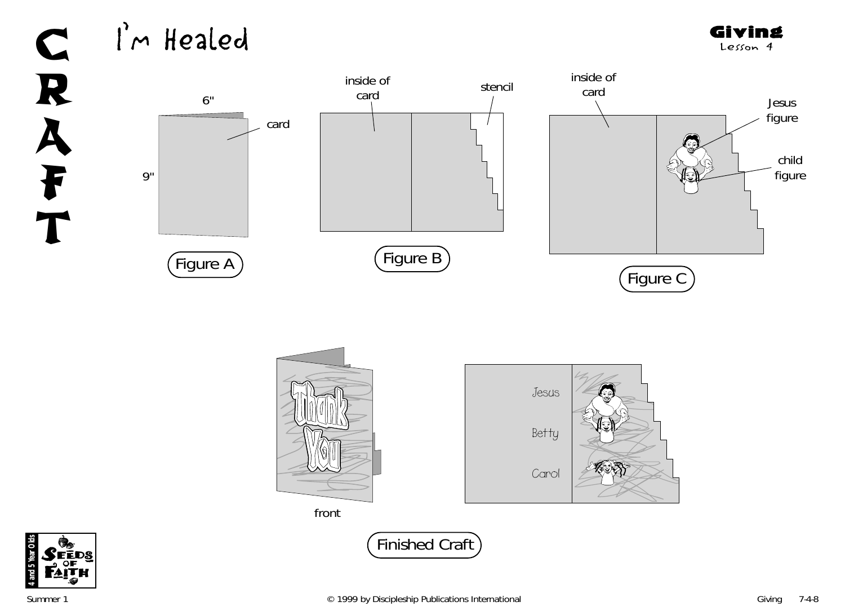Giving Lesson 4



**4 and 5 Year Olds**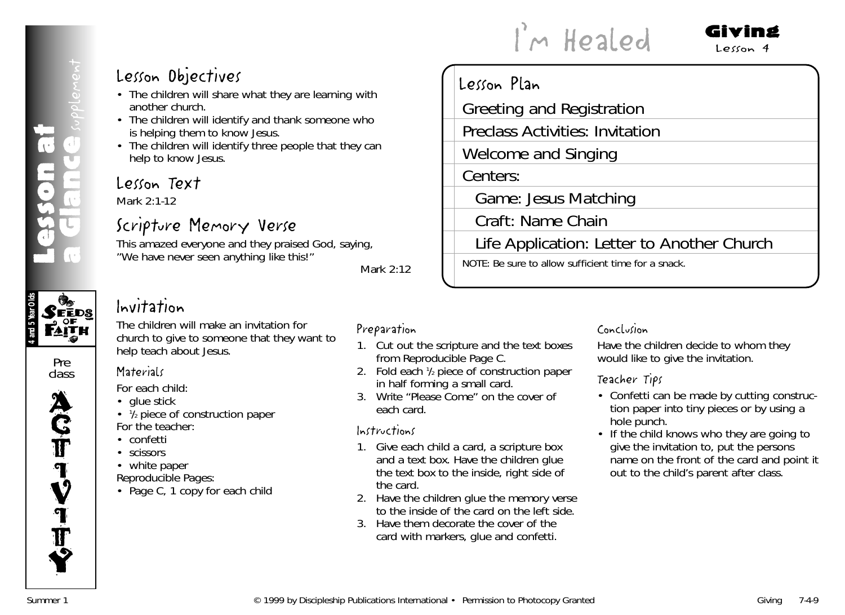### **4 and 5 Year Olds Seeds**<br>Seeds

Pre class



### Lesson Objectives

- The children will share what they are learning with another church.
- The children will identify and thank someone who is helping them to know Jesus.
- The children will identify three people that they can help to know Jesus.

### Lesson Text

Mark 2:1-12

### Scripture Memory Verse

This amazed everyone and they praised God, saying, "We have never seen anything like this!"

*Mark 2:12*

### Invitation

The children will make an invitation for church to give to someone that they want to help teach about Jesus.

### **Materials**

*For each child:*

- glue stick
- 1/2 piece of construction paper *For the teacher:*
- confetti
- scissors
- white paper

*Reproducible Pages:*

• Page C, 1 copy for each child

### Preparation

1. Cut out the scripture and the text boxes from Reproducible Page C.

Lesson Plan

Centers:

- 2. Fold each 1/2 piece of construction paper in half forming a small card.
- 3. Write "Please Come" on the cover of each card.

#### Instructions

- 1. Give each child a card, a scripture box and a text box. Have the children glue the text box to the inside, right side of the card.
- 2. Have the children glue the memory verse to the inside of the card on the left side.
- 3. Have them decorate the cover of the card with markers, glue and confetti.

### Conclusion

Life Application: Letter to Another Church

I'm Healed

Greeting and Registration

Game: Jesus Matching

NOTE: Be sure to allow sufficient time for a snack.

Welcome and Singing

Craft: Name Chain

Preclass Activities: Invitation

Have the children decide to whom they would like to give the invitation.

### Teacher Tips

• Confetti can be made by cutting construction paper into tiny pieces or by using a hole punch.

Giving  $Lecon4$ 

• If the child knows who they are going to give the invitation to, put the persons name on the front of the card and point it out to the child's parent after class.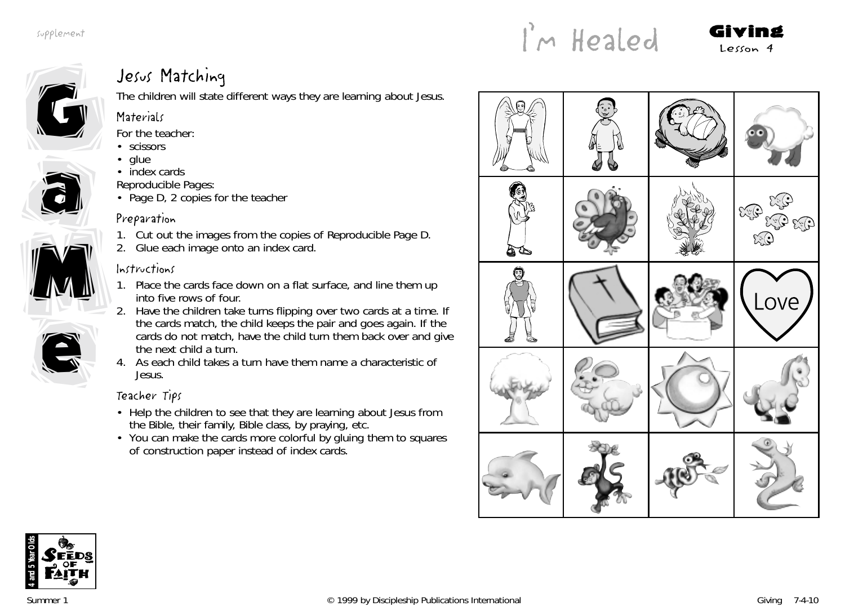supplement





### Jesus Matching

The children will state different ways they are learning about Jesus.

### **Materials**

*For the teacher:*

- scissors
- glue
- index cards
- *Reproducible Pages:*
- Page D, 2 copies for the teacher

### Preparation

- 1. Cut out the images from the copies of Reproducible Page D.
- 2. Glue each image onto an index card.

### Instructions

- 1. Place the cards face down on a flat surface, and line them up into five rows of four.
- 2. Have the children take turns flipping over two cards at a time. If the cards match, the child keeps the pair and goes again. If the cards do not match, have the child turn them back over and give the next child a turn.
- 4. As each child takes a turn have them name a characteristic of Jesus.

### Teacher Tips

- Help the children to see that they are learning about Jesus from the Bible, their family, Bible class, by praying, etc.
- You can make the cards more colorful by gluing them to squares of construction paper instead of index cards.





e

e

M

M

a

a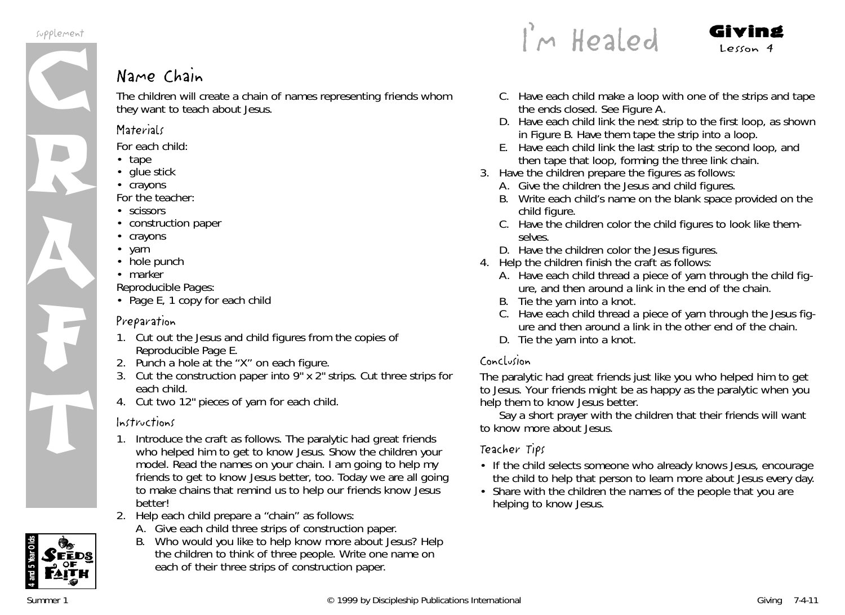

### Name Chain

The children will create a chain of names representing friends whom they want to teach about Jesus.

#### **Materials**

*For each child:*

- tape
- glue stick
- crayons

*For the teacher:*

- scissors
- construction paper
- crayons
- yarn
- hole punch
- marker

*Reproducible Pages:*

• Page E, 1 copy for each child

### Preparation

- 1. Cut out the Jesus and child figures from the copies of Reproducible Page E.
- 2. Punch a hole at the "X" on each figure.
- 3. Cut the construction paper into  $9" \times 2"$  strips. Cut three strips for each child.
- 4. Cut two 12" pieces of yarn for each child.

### Instructions

- 1. Introduce the craft as follows. *The paralytic had great friends who helped him to get to know Jesus.* Show the children your model. Read the names on your chain*. I am going to help my friends to get to know Jesus better, too. Today we are all going to make chains that remind us to help our friends know Jesus better!*
- 2. Help each child prepare a "chain" as follows:
	- A. Give each child three strips of construction paper.
	- B. *Who would you like to help know more about Jesus?* Help the children to think of three people. Write one name on each of their three strips of construction paper.

 $\int_{0}^{1}$ m Healed Giving

- C. Have each child make a loop with one of the strips and tape the ends closed. See Figure A.
- D. Have each child link the next strip to the first loop, as shown in Figure B. Have them tape the strip into a loop.
- E. Have each child link the last strip to the second loop, and then tape that loop, forming the three link chain.
- 3. Have the children prepare the figures as follows:
	- A. Give the children the Jesus and child figures.
	- B. Write each child's name on the blank space provided on the child figure.
	- C. Have the children color the child figures to look like themselves.
	- D. Have the children color the Jesus figures.
- 4. Help the children finish the craft as follows:
	- A. Have each child thread a piece of yarn through the child figure, and then around a link in the end of the chain.
	- B. Tie the yarn into a knot.
	- C. Have each child thread a piece of yarn through the Jesus figure and then around a link in the other end of the chain.
	- D. Tie the yarn into a knot.

### Conclusion

*The paralytic had great friends just like you who helped him to get to Jesus. Your friends might be as happy as the paralytic when you help them to know Jesus better.*

Say a short prayer with the children that their friends will want to know more about Jesus.

### Teacher Tips

- If the child selects someone who already knows Jesus, encourage the child to help that person to learn more about Jesus every day.
- Share with the children the names of the people that you are helping to know Jesus.

**4 and 5 Year Olds**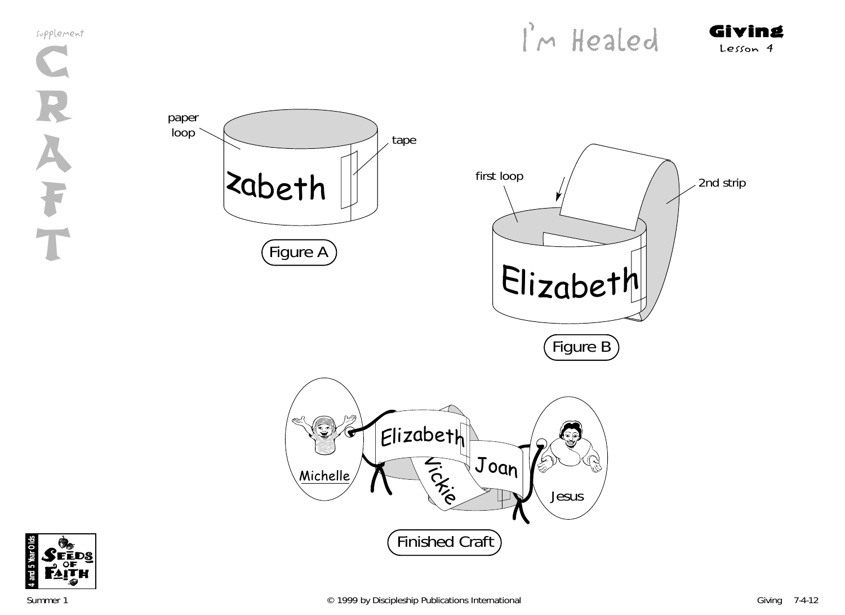supplement **C** R A F T



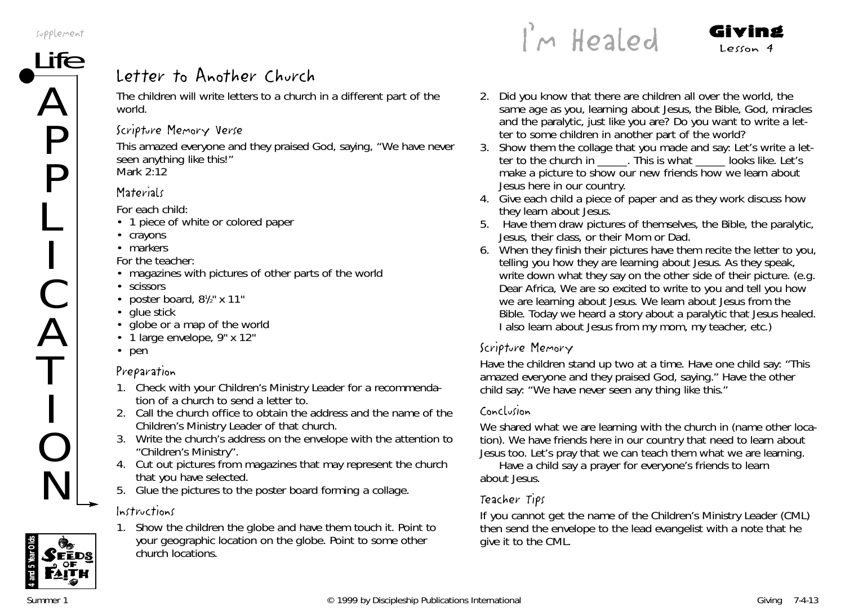# $\overline{\text{ife}}$  Letter to Another Church

The children will write letters to a church in a different part of the world.

### Scripture Memory Verse

This amazed everyone and they praised God, saying, "We have never seen anything like this!" *Mark 2:12*

### **Materials**

*For each child:*

- 1 piece of white or colored paper
- crayons
- markers

*For the teacher:*

- magazines with pictures of other parts of the world
- scissors
- poster board,  $8\frac{1}{2}$  x 11"
- glue stick
- globe or a map of the world
- 1 large envelope, 9" x 12"
- pen

### Preparation

- 1. Check with your Children's Ministry Leader for a recommendation of a church to send a letter to.
- 2. Call the church office to obtain the address and the name of the Children's Ministry Leader of that church.
- 3. Write the church's address on the envelope with the attention to "Children's Ministry".
- 4. Cut out pictures from magazines that may represent the church that you have selected.
- 5. Glue the pictures to the poster board forming a collage.

### Instructions



1. Show the children the globe and have them touch it. Point to your geographic location on the globe. Point to some other church locations.

 $\int_{\mathbb{R}}$  Healed Giving

- 2. *Did you know that there are children all over the world, the same age as you, learning about Jesus, the Bible, God, miracles and the paralytic, just like you are? Do you want to write a letter to some children in another part of the world?*
- 3. Show them the collage that you made and say: *Let's write a letter to the church in \_\_\_\_\_. This is what \_\_\_\_\_ looks like. Let's make a picture to show our new friends how we learn about Jesus here in our country.*
- 4. Give each child a piece of paper and as they work discuss how they learn about Jesus.
- 5. Have them draw pictures of themselves, the Bible, the paralytic, Jesus, their class, or their Mom or Dad.
- 6. When they finish their pictures have them recite the letter to you, telling you how they are learning about Jesus. As they speak, write down what they say on the other side of their picture. (e.g. Dear Africa, We are so excited to write to you and tell you how we are learning about Jesus. We learn about Jesus from the Bible. Today we heard a story about a paralytic that Jesus healed. I also learn about Jesus from my mom, my teacher, etc.)

### Scripture Memory

Have the children stand up two at a time. Have one child say: "This amazed everyone and they praised God, saying." Have the other child say: "We have never seen any thing like this."

### Conclusion

We shared what we are learning with the church in (name other location)*. We have friends here in our country that need to learn about Jesus too. Let's pray that we can teach them what we are learning.*

Have a child say a prayer for everyone's friends to learn about Jesus.

### Teacher Tips

If you cannot get the name of the Children's Ministry Leader (CML) then send the envelope to the lead evangelist with a note that he give it to the CML.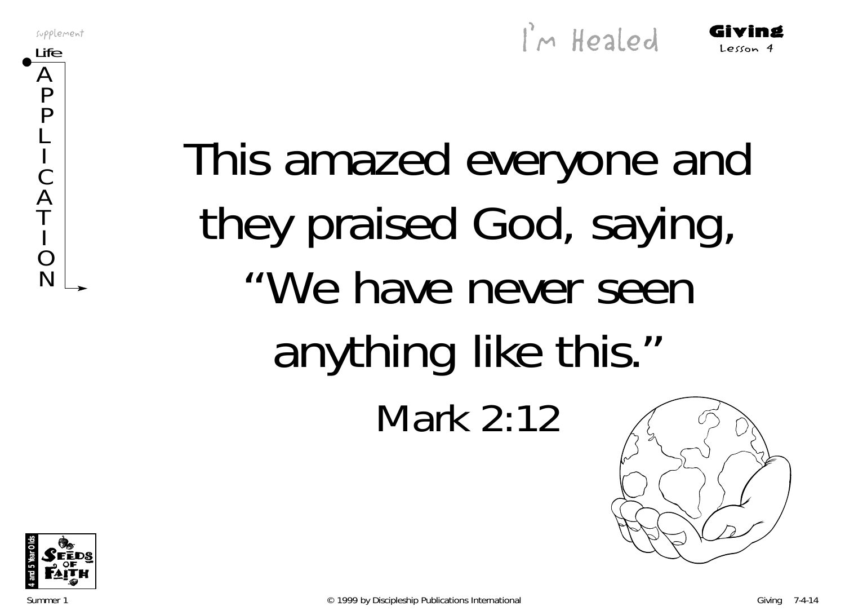Supplement  $\int_{0}^{3} M \text{ Headed}$  Giving

This amazed everyone and they praised God, saying, "We have never seen anything like this." Mark 2:12



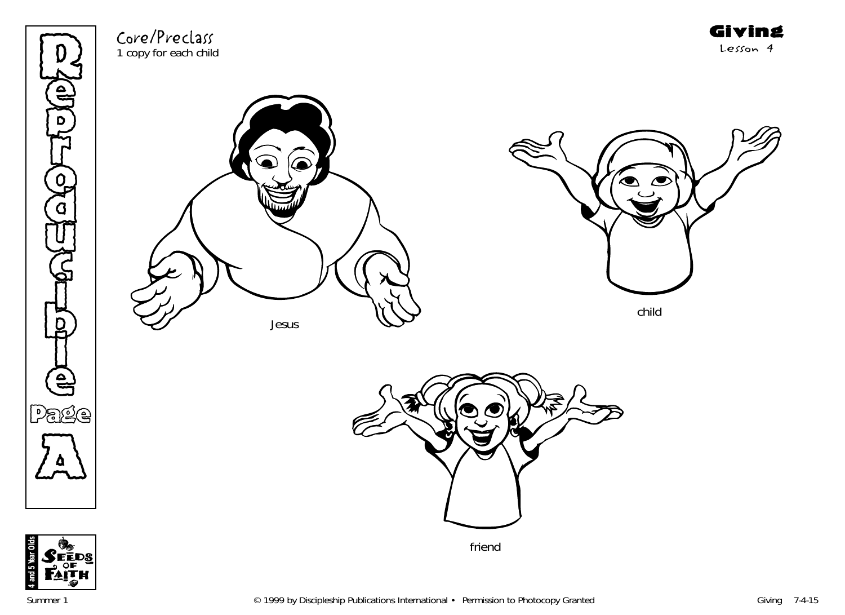

Core/Preclass 1 copy for each child



Jesus



Giving Lesson 4

child





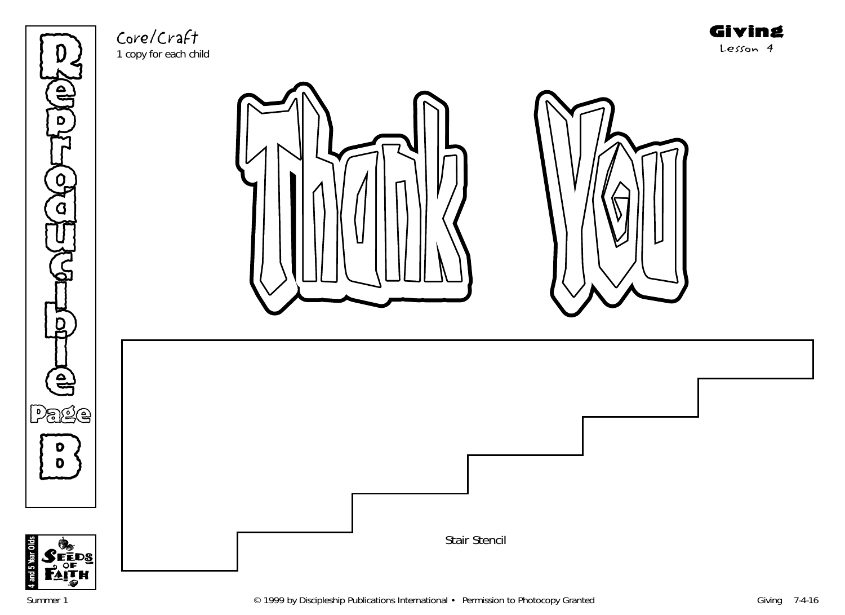Re  $\sum_{i=1}^{\infty}$ **THE**  $\overline{Q}$ )<br>አ U  $\mathbb{G}% _{n}^{X}$ )<br>D to H l e Page **B** 



Core/Craft 1 copy for each child



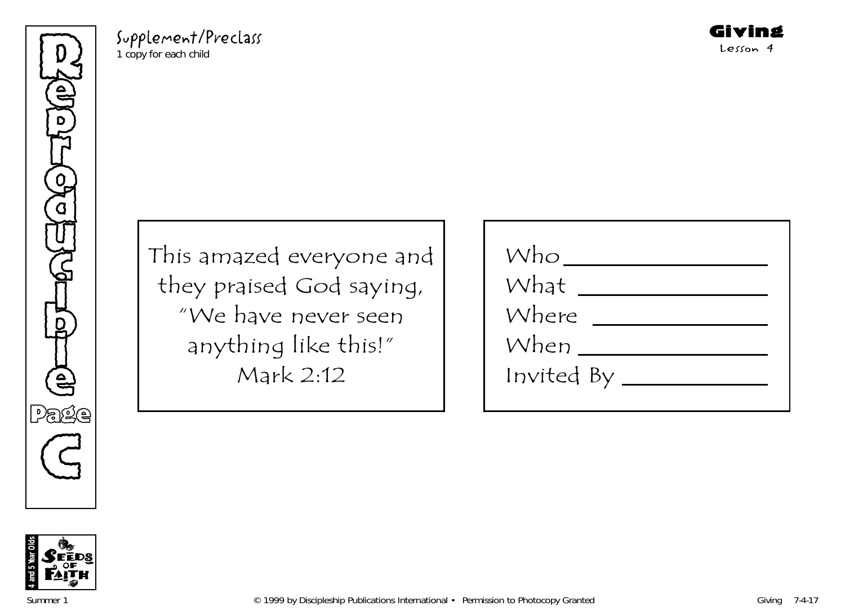Refer p **THE** o )<br>አ U  $\mathbb{G}% _{n}^{X}$ )<br>D to K l e Page G

Supplement/Preclass 1 copy for each child

This amazed everyone and they praised God saying, "We have never seen anything like this!" Mark 2:12

| Who        |  |
|------------|--|
| What       |  |
| Where      |  |
| When       |  |
| Invited By |  |
|            |  |

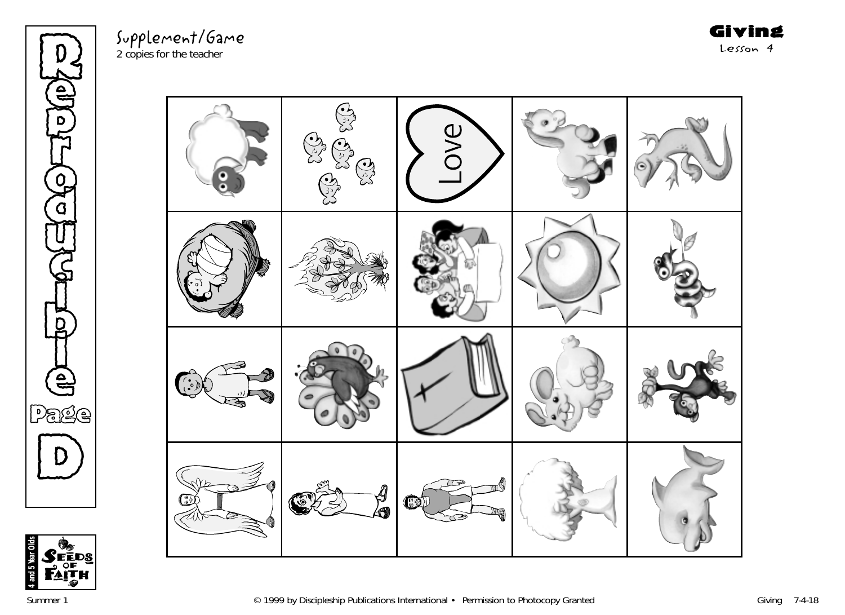**Red** y<br>o **THE** o )<br>አ U  $\mathbb{G}% _{n}^{X}$ )<br>D to H l e Page  $\bigcirc$ 

Supplement/Game 2 copies for the teacher

Giving Lesson 4